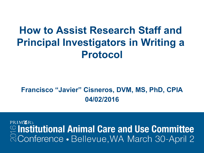## **How to Assist Research Staff and Principal Investigators in Writing a Protocol**

**Francisco "Javier" Cisneros, DVM, MS, PhD, CPIA 04/02/2016** 

PRIMER's Committee Institutional Animal Care and Use Committee & Conference · Bellevue, WA March 30-April 2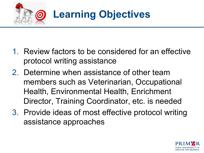

- 1. Review factors to be considered for an effective protocol writing assistance
- 2. Determine when assistance of other team members such as Veterinarian, Occupational Health, Environmental Health, Enrichment Director, Training Coordinator, etc. is needed
- 3. Provide ideas of most effective protocol writing assistance approaches

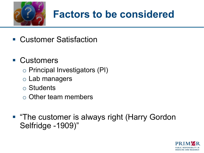

# **Factors to be considered**

- **E.** Customer Satisfaction
- Customers
	- o Principal Investigators (PI)
	- o Lab managers
	- o Students
	- o Other team members
- **"The customer is always right (Harry Gordon** Selfridge -1909)"

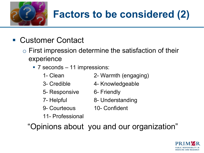

# **Factors to be considered (2)**

- ! Customer Contact
	- o First impression determine the satisfaction of their experience
		- 7 seconds 11 impressions:
			- 1- Clean 2- Warmth (engaging)
			- 3- Credible 4- Knowledgeable
			- 5- Responsive 6- Friendly
			- 7- Helpful 8- Understanding
				-
			-
			- 9- Courteous 10- Confident
			- 11- Professional

"Opinions about you and our organization"

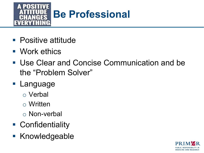

- **Positive attitude**
- Work ethics
- ! Use Clear and Concise Communication and be the "Problem Solver"
- **Language** 
	- o Verbal
	- o Written
	- o Non-verbal
- **E.** Confidentiality
- **E** Knowledgeable

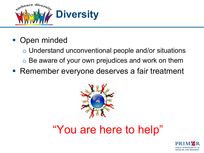

## Open minded

- o Understand unconventional people and/or situations
- o Be aware of your own prejudices and work on them
- Remember everyone deserves a fair treatment



"You are here to help"

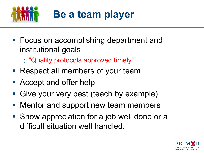

- Focus on accomplishing department and institutional goals
	- o "Quality protocols approved timely"
- Respect all members of your team
- Accept and offer help
- **Give your very best (teach by example)**
- **Mentor and support new team members**
- **Show appreciation for a job well done or a** difficult situation well handled.

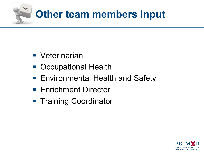

- **Veterinarian**
- Occupational Health
- **Environmental Health and Safety**
- **Enrichment Director**
- **Training Coordinator**

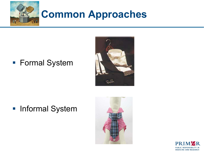

# **Common Approaches**

## ■ Formal System



**· Informal System** 



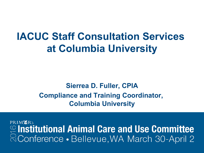## **IACUC Staff Consultation Services at Columbia University**

#### **Sierrea D. Fuller, CPIA Compliance and Training Coordinator, Columbia University**

PRIMER's  $\mathcal{L}$  Institutional Animal Care and Use Committee &Conference · Bellevue, WA March 30-April 2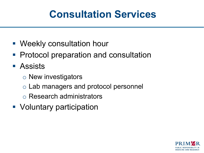## **Consultation Services**

- **Weekly consultation hour**
- **Protocol preparation and consultation**
- **E** Assists
	- o New investigators
	- o Lab managers and protocol personnel
	- o Research administrators
- **Voluntary participation**

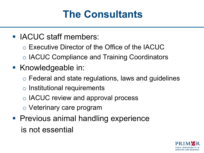# **The Consultants**

### **I IACUC staff members:**

- o Executive Director of the Office of the IACUC
- o IACUC Compliance and Training Coordinators

## ■ Knowledgeable in:

- o Federal and state regulations, laws and guidelines
- o Institutional requirements
- o IACUC review and approval process
- o Veterinary care program
- **Previous animal handling experience** is not essential

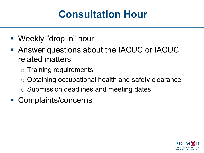# **Consultation Hour**

- **Weekly "drop in" hour**
- **E** Answer questions about the IACUC or IACUC related matters
	- o Training requirements
	- o Obtaining occupational health and safety clearance
	- o Submission deadlines and meeting dates
- ! Complaints/concerns

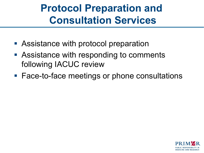## **Protocol Preparation and Consultation Services**

- **Assistance with protocol preparation**
- **Assistance with responding to comments** following IACUC review
- Face-to-face meetings or phone consultations

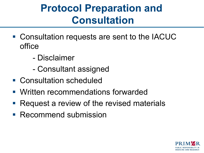# **Protocol Preparation and Consultation**

- Consultation requests are sent to the IACUC office
	- Disclaimer
	- Consultant assigned
- **E.** Consultation scheduled
- Written recommendations forwarded
- Request a review of the revised materials
- **Recommend submission**

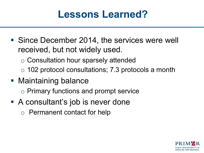## **Lessons Learned?**

- **Since December 2014, the services were well** received, but not widely used.
	- o Consultation hour sparsely attended
	- o 102 protocol consultations; 7.3 protocols a month
- **Maintaining balance** 
	- o Primary functions and prompt service
- A consultant's job is never done
	- o Permanent contact for help

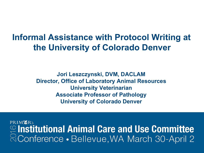## **Informal Assistance with Protocol Writing at the University of Colorado Denver**

**Jori Leszczynski, DVM, DACLAM Director, Office of Laboratory Animal Resources University Veterinarian Associate Professor of Pathology University of Colorado Denver** 

PRIMER's  $\mathcal{L}$  Institutional Animal Care and Use Committee & Conference · Bellevue, WA March 30-April 2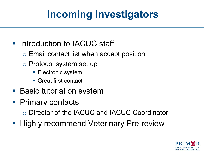# **Incoming Investigators**

- **Introduction to IACUC staff** 
	- o Email contact list when accept position
	- o Protocol system set up
		- **Electronic system**
		- Great first contact
- Basic tutorial on system
- **Primary contacts** 
	- o Director of the IACUC and IACUC Coordinator
- **Highly recommend Veterinary Pre-review**

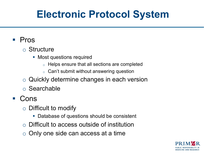# **Electronic Protocol System**

#### ! Pros

#### o Structure

- **Most questions required** 
	- $\circ$  Helps ensure that all sections are completed
	- o Can't submit without answering question
- Quickly determine changes in each version
- o Searchable

### ■ Cons

- o Difficult to modify
	- ! Database of questions should be consistent
- o Difficult to access outside of institution
- Only one side can access at a time

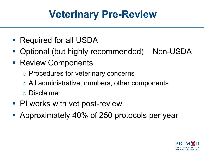# **Veterinary Pre-Review**

- Required for all USDA
- ! Optional (but highly recommended) Non-USDA
- **Example Review Components** 
	- o Procedures for veterinary concerns
	- o All administrative, numbers, other components
	- o Disclaimer
- **PI works with vet post-review**
- **Approximately 40% of 250 protocols per year**

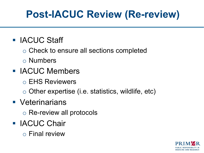# **Post-IACUC Review (Re-review)**

## **I** IACUC Staff

- o Check to ensure all sections completed
- o Numbers
- **E** IACUC Members
	- o EHS Reviewers
	- o Other expertise (i.e. statistics, wildlife, etc)

### **• Veterinarians**

o Re-review all protocols

## **E** IACUC Chair

o Final review

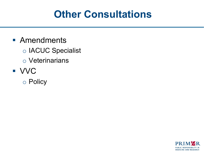## **Other Consultations**

- Amendments
	- o IACUC Specialist
	- o Veterinarians
- ! VVC
	- o Policy

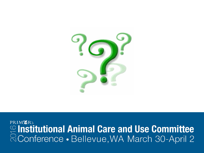

PRIMER's **Example 2 Institutional Animal Care and Use Committee** & Conference • Bellevue, WA March 30-April 2